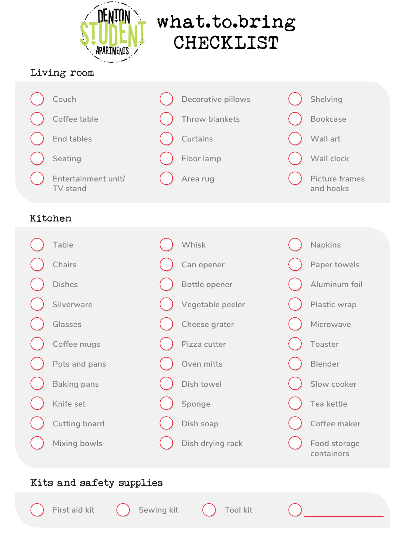### Kitchen

**Vegetable peeler**

**Cheese grater**

**Pizza cutter**

**Oven mitts**

**Dish towel**

**Sponge**

**Dish soap**

**Dish drying rack**



**Microwave Toaster Blender Slow cooker Tea kettle Coffee maker Food storage containers**

**Silverware Glasses Coffee mugs Pots and pans Baking pans Knife set Cutting board Mixing bowls** 

### Living room



#### Kits and safety supplies







# what.to.bring CHECKLIST